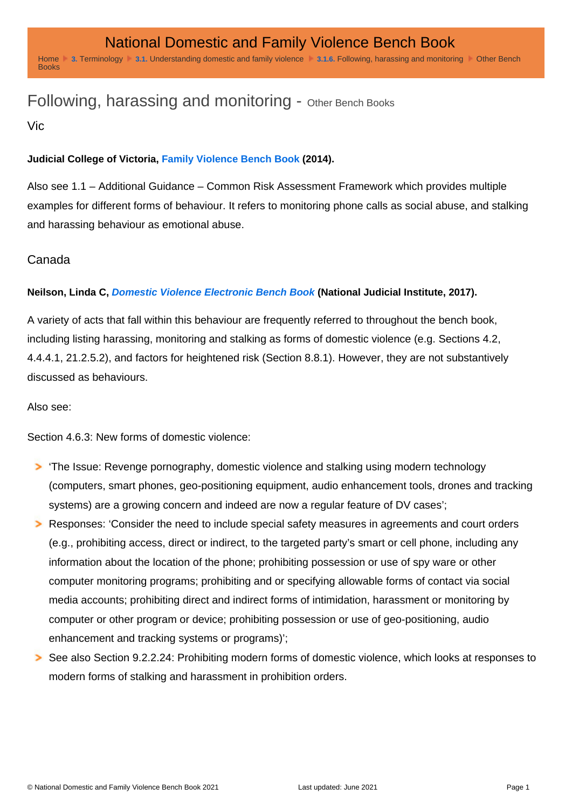## Following, harassing and monitoring - Other Bench Books

Vic

Judicial College of Victoria, [Family Violence Bench Book](http://www.judicialcollege.vic.edu.au/eManuals/FVBBWeb/index.htm#34143.htm) (2014).

Also see 1.1 – Additional Guidance – Common Risk Assessment Framework which provides multiple examples for different forms of behaviour. It refers to monitoring phone calls as social abuse, and stalking and harassing behaviour as emotional abuse.

## Canada

Neilson, Linda C, [Domestic Violence Electronic Bench Book](https://www.canlii.org/en/commentary/doc/2017CanLIIDocs2) (National Judicial Institute, 2017).

A variety of acts that fall within this behaviour are frequently referred to throughout the bench book, including listing harassing, monitoring and stalking as forms of domestic violence (e.g. Sections 4.2, 4.4.4.1, 21.2.5.2), and factors for heightened risk (Section 8.8.1). However, they are not substantively discussed as behaviours.

Also see:

Section 4.6.3: New forms of domestic violence:

'The Issue: Revenge pornography, domestic violence and stalking using modern technology (computers, smart phones, geo-positioning equipment, audio enhancement tools, drones and tracking systems) are a growing concern and indeed are now a regular feature of DV cases'; Responses: 'Consider the need to include special safety measures in agreements and court orders (e.g., prohibiting access, direct or indirect, to the targeted party's smart or cell phone, including any information about the location of the phone; prohibiting possession or use of spy ware or other computer monitoring programs; prohibiting and or specifying allowable forms of contact via social media accounts; prohibiting direct and indirect forms of intimidation, harassment or monitoring by computer or other program or device; prohibiting possession or use of geo-positioning, audio enhancement and tracking systems or programs)';

See also Section 9.2.2.24: Prohibiting modern forms of domestic violence, which looks at responses to modern forms of stalking and harassment in prohibition orders.